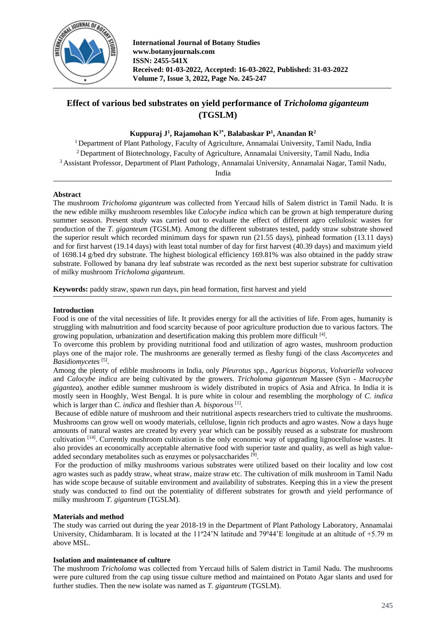

**International Journal of Botany Studies www.botanyjournals.com ISSN: 2455-541X Received: 01-03-2022, Accepted: 16-03-2022, Published: 31-03-2022 Volume 7, Issue 3, 2022, Page No. 245-247**

# **Effect of various bed substrates on yield performance of** *Tricholoma giganteum*  **(TGSLM)**

# **Kuppuraj J<sup>1</sup> , Rajamohan K3\* , Balabaskar P<sup>1</sup> , Anandan R<sup>2</sup>**

<sup>1</sup> Department of Plant Pathology, Faculty of Agriculture, Annamalai University, Tamil Nadu, India <sup>2</sup> Department of Biotechnology, Faculty of Agriculture, Annamalai University, Tamil Nadu, India <sup>3</sup>Assistant Professor, Department of Plant Pathology, Annamalai University, Annamalai Nagar, Tamil Nadu, India

**Abstract**

The mushroom *Tricholoma giganteum* was collected from Yercaud hills of Salem district in Tamil Nadu. It is the new edible milky mushroom resembles like *Calocybe indica* which can be grown at high temperature during summer season. Present study was carried out to evaluate the effect of different agro cellulosic wastes for production of the *T. giganteum* (TGSLM). Among the different substrates tested, paddy straw substrate showed the superior result which recorded minimum days for spawn run (21.55 days), pinhead formation (13.11 days) and for first harvest (19.14 days) with least total number of day for first harvest (40.39 days) and maximum yield of 1698.14 g/bed dry substrate. The highest biological efficiency 169.81% was also obtained in the paddy straw substrate. Followed by banana dry leaf substrate was recorded as the next best superior substrate for cultivation of milky mushroom *Tricholoma giganteum*.

**Keywords:** paddy straw, spawn run days, pin head formation, first harvest and yield

# **Introduction**

Food is one of the vital necessities of life. It provides energy for all the activities of life. From ages, humanity is struggling with malnutrition and food scarcity because of poor agriculture production due to various factors. The growing population, urbanization and desertification making this problem more difficult [4].

To overcome this problem by providing nutritional food and utilization of agro wastes, mushroom production plays one of the major role. The mushrooms are generally termed as fleshy fungi of the class *Ascomycetes* and Basidiomycetes<sup>[5]</sup>.

Among the plenty of edible mushrooms in India, only *Pleurotus* spp., *Agaricus bisporus, Volvariella volvacea*  and *Calocybe indica* are being cultivated by the growers. *Tricholoma giganteum* Massee (Syn - *Macrocybe gigantea*), another edible summer mushroom is widely distributed in tropics of Asia and Africa. In India it is mostly seen in Hooghly, West Bengal. It is pure white in colour and resembling the morphology of *C. indica*  which is larger than *C. indica* and fleshier than *A. bisporous* [1] .

Because of edible nature of mushroom and their nutritional aspects researchers tried to cultivate the mushrooms. Mushrooms can grow well on woody materials, cellulose, lignin rich products and agro wastes. Now a days huge amounts of natural wastes are created by every year which can be possibly reused as a substrate for mushroom cultivation  $[14]$ . Currently mushroom cultivation is the only economic way of upgrading lignocellulose wastes. It also provides an economically acceptable alternative food with superior taste and quality, as well as high valueadded secondary metabolites such as enzymes or polysaccharides<sup>[9]</sup>.

For the production of milky mushrooms various substrates were utilized based on their locality and low cost agro wastes such as paddy straw, wheat straw, maize straw etc. The cultivation of milk mushroom in Tamil Nadu has wide scope because of suitable environment and availability of substrates. Keeping this in a view the present study was conducted to find out the potentiality of different substrates for growth and yield performance of milky mushroom *T. giganteum* (TGSLM).

# **Materials and method**

The study was carried out during the year 2018-19 in the Department of Plant Pathology Laboratory, Annamalai University, Chidambaram. It is located at the 11º24'N latitude and 79º44'E longitude at an altitude of +5.79 m above MSL.

# **Isolation and maintenance of culture**

The mushroom *Tricholoma* was collected from Yercaud hills of Salem district in Tamil Nadu. The mushrooms were pure cultured from the cap using tissue culture method and maintained on Potato Agar slants and used for further studies. Then the new isolate was named as *T. giganteum* (TGSLM).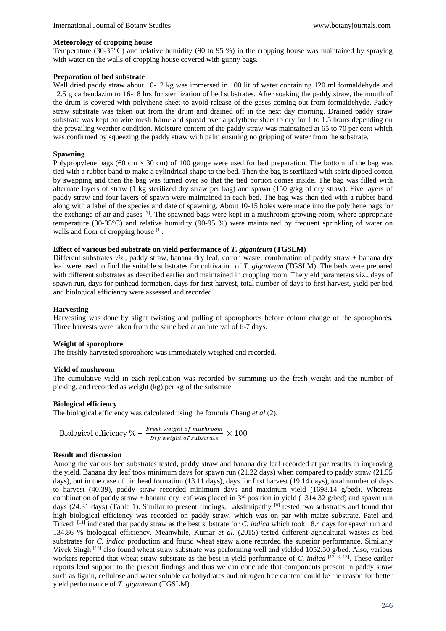#### **Meteorology of cropping house**

Temperature (30-35°C) and relative humidity (90 to 95 %) in the cropping house was maintained by spraying with water on the walls of cropping house covered with gunny bags.

#### **Preparation of bed substrate**

Well dried paddy straw about 10-12 kg was immersed in 100 lit of water containing 120 ml formaldehyde and 12.5 g carbendazim to 16-18 hrs for sterilization of bed substrates. After soaking the paddy straw, the mouth of the drum is covered with polythene sheet to avoid release of the gases coming out from formaldehyde. Paddy straw substrate was taken out from the drum and drained off in the next day morning. Drained paddy straw substrate was kept on wire mesh frame and spread over a polythene sheet to dry for 1 to 1.5 hours depending on the prevailing weather condition. Moisture content of the paddy straw was maintained at 65 to 70 per cent which was confirmed by squeezing the paddy straw with palm ensuring no gripping of water from the substrate.

#### **Spawning**

Polypropylene bags (60 cm  $\times$  30 cm) of 100 gauge were used for bed preparation. The bottom of the bag was tied with a rubber band to make a cylindrical shape to the bed. Then the bag is sterilized with spirit dipped cotton by swapping and then the bag was turned over so that the tied portion comes inside. The bag was filled with alternate layers of straw (1 kg sterilized dry straw per bag) and spawn (150 g/kg of dry straw). Five layers of paddy straw and four layers of spawn were maintained in each bed. The bag was then tied with a rubber band along with a label of the species and date of spawning. About 10-15 holes were made into the polythene bags for the exchange of air and gases  $^{[7]}$ . The spawned bags were kept in a mushroom growing room, where appropriate temperature (30-35°C) and relative humidity (90-95 %) were maintained by frequent sprinkling of water on walls and floor of cropping house [1].

### **Effect of various bed substrate on yield performance of** *T. giganteum* **(TGSLM)**

Different substrates *viz.*, paddy straw, banana dry leaf, cotton waste, combination of paddy straw + banana dry leaf were used to find the suitable substrates for cultivation of *T. giganteum* (TGSLM). The beds were prepared with different substrates as described earlier and maintained in cropping room. The yield parameters viz., days of spawn run, days for pinhead formation, days for first harvest, total number of days to first harvest, yield per bed and biological efficiency were assessed and recorded.

# **Harvesting**

Harvesting was done by slight twisting and pulling of sporophores before colour change of the sporophores. Three harvests were taken from the same bed at an interval of 6-7 days.

#### **Weight of sporophore**

The freshly harvested sporophore was immediately weighed and recorded.

#### **Yield of mushroom**

The cumulative yield in each replication was recorded by summing up the fresh weight and the number of picking, and recorded as weight (kg) per kg of the substrate.

#### **Biological efficiency**

The biological efficiency was calculated using the formula Chang *et al* (2).

Biological efficiency 
$$
\% = \frac{Fresh \text{ weight of} \text{ mushroom}}{Dry \text{ weight of} \text{ substrate}} \times 100
$$

#### **Result and discussion**

Among the various bed substrates tested, paddy straw and banana dry leaf recorded at par results in improving the yield. Banana dry leaf took minimum days for spawn run (21.22 days) when compared to paddy straw (21.55 days), but in the case of pin head formation (13.11 days), days for first harvest (19.14 days), total number of days to harvest (40.39), paddy straw recorded minimum days and maximum yield (1698.14 g/bed). Whereas combination of paddy straw + banana dry leaf was placed in  $3^{rd}$  position in yield (1314.32 g/bed) and spawn run days (24.31 days) (Table 1). Similar to present findings, Lakshmipathy  $[8]$  tested two substrates and found that high biological efficiency was recorded on paddy straw, which was on par with maize substrate. Patel and Trivedi [11] indicated that paddy straw as the best substrate for *C. indica* which took 18.4 days for spawn run and 134.86 % biological efficiency. Meanwhile, Kumar *et al.* (2015) tested different agricultural wastes as bed substrates for *C. indica* production and found wheat straw alone recorded the superior performance. Similarly Vivek Singh<sup>[15]</sup> also found wheat straw substrate was performing well and yielded 1052.50 g/bed. Also, various workers reported that wheat straw substrate as the best in yield performance of *C. indica* <sup>[12, 3, 13]</sup>. These earlier reports lend support to the present findings and thus we can conclude that components present in paddy straw such as lignin, cellulose and water soluble carbohydrates and nitrogen free content could be the reason for better yield performance of *T. giganteum* (TGSLM)*.*